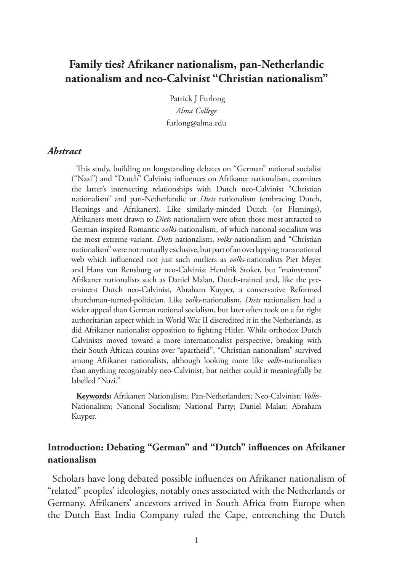# **Family ties? Afrikaner nationalism, pan-Netherlandic nationalism and neo-Calvinist "Christian nationalism"**

Patrick J Furlong *Alma College* furlong@alma.edu

## *Abstract*

This study, building on longstanding debates on "German" national socialist ("Nazi") and "Dutch" Calvinist influences on Afrikaner nationalism, examines the latter's intersecting relationships with Dutch neo-Calvinist "Christian nationalism" and pan-Netherlandic or *Diets* nationalism (embracing Dutch, Flemings and Afrikaners). Like similarly-minded Dutch (or Flemings), Afrikaners most drawn to *Diets* nationalism were often those most attracted to German-inspired Romantic *volks*-nationalism, of which national socialism was the most extreme variant. *Diets* nationalism, *volks*-nationalism and "Christian nationalism" were not mutually exclusive, but part of an overlapping transnational web which influenced not just such outliers as *volks*-nationalists Piet Meyer and Hans van Rensburg or neo-Calvinist Hendrik Stoker, but "mainstream" Afrikaner nationalists such as Daniel Malan, Dutch-trained and, like the preeminent Dutch neo-Calvinist, Abraham Kuyper, a conservative Reformed churchman-turned-politician. Like *volks*-nationalism, *Diets* nationalism had a wider appeal than German national socialism, but later often took on a far right authoritarian aspect which in World War II discredited it in the Netherlands, as did Afrikaner nationalist opposition to fighting Hitler. While orthodox Dutch Calvinists moved toward a more internationalist perspective, breaking with their South African cousins over "apartheid", "Christian nationalism" survived among Afrikaner nationalists, although looking more like *volks*-nationalism than anything recognizably neo-Calvinist, but neither could it meaningfully be labelled "Nazi."

**Keywords:** Afrikaner; Nationalism; Pan-Netherlanders; Neo-Calvinist; *Volks*-Nationalism; National Socialism; National Party; Daniel Malan; Abraham Kuyper.

# **Introduction: Debating "German" and "Dutch" influences on Afrikaner nationalism**

Scholars have long debated possible influences on Afrikaner nationalism of "related" peoples' ideologies, notably ones associated with the Netherlands or Germany. Afrikaners' ancestors arrived in South Africa from Europe when the Dutch East India Company ruled the Cape, entrenching the Dutch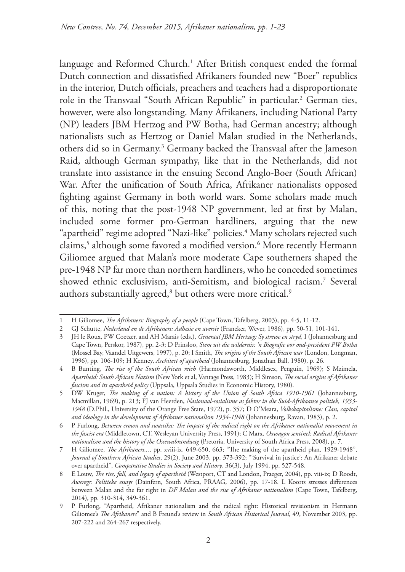language and Reformed Church.<sup>1</sup> After British conquest ended the formal Dutch connection and dissatisfied Afrikaners founded new "Boer" republics in the interior, Dutch officials, preachers and teachers had a disproportionate role in the Transvaal "South African Republic" in particular.<sup>2</sup> German ties, however, were also longstanding. Many Afrikaners, including National Party (NP) leaders JBM Hertzog and PW Botha, had German ancestry; although nationalists such as Hertzog or Daniel Malan studied in the Netherlands, others did so in Germany.3 Germany backed the Transvaal after the Jameson Raid, although German sympathy, like that in the Netherlands, did not translate into assistance in the ensuing Second Anglo-Boer (South African) War. After the unification of South Africa, Afrikaner nationalists opposed fighting against Germany in both world wars. Some scholars made much of this, noting that the post-1948 NP government, led at first by Malan, included some former pro-German hardliners, arguing that the new "apartheid" regime adopted "Nazi-like" policies.4 Many scholars rejected such claims,<sup>5</sup> although some favored a modified version.<sup>6</sup> More recently Hermann Giliomee argued that Malan's more moderate Cape southerners shaped the pre-1948 NP far more than northern hardliners, who he conceded sometimes showed ethnic exclusivism, anti-Semitism, and biological racism.7 Several authors substantially agreed, $^{\rm 8}$  but others were more critical. $^{\rm 9}$ 

<sup>1</sup> H Giliomee, *The Afrikaners: Biography of a people* (Cape Town, Tafelberg, 2003), pp. 4-5, 11-12.

<sup>2</sup> GJ Schutte, *Nederland en de Afrikaners: Adhesie en aversie* (Franeker, Wever, 1986), pp. 50-51, 101-141.

<sup>3</sup> JH le Roux, PW Coetzer, and AH Marais (eds.), *Generaal JBM Hertzog: Sy strewe en stryd*, I (Johannesburg and Cape Town, Perskor, 1987), pp. 2-3; D Prinsloo, *Stem uit die wildernis: 'n Biografie oor oud-president PW Botha* (Mossel Bay, Vaandel Uitgewers, 1997), p. 20; I Smith, *The origins of the South African war* (London, Longman, 1996), pp. 106-109; H Kenney, *Architect of apartheid* (Johannesburg, Jonathan Ball, 1980), p. 26.

<sup>4</sup> B Bunting, *The rise of the South African reich* (Harmondsworth, Middlesex, Penguin, 1969); S Mzimela, *Apartheid: South African Nazism* (New York et al, Vantage Press, 1983); H Simson, *The social origins of Afrikaner fascism and its apartheid policy* (Uppsala, Uppsala Studies in Economic History, 1980).

<sup>5</sup> DW Kruger, *The making of a nation: A history of the Union of South Africa 1910-1961* (Johannesburg, Macmillan, 1969), p. 213; FJ van Heerden, *Nasionaal-sosialisme as faktor in die Suid-Afrikaanse politiek, 1933- 1948* (D.Phil., University of the Orange Free State, 1972), p. 357; D O'Meara, *Volkskapitalisme: Class, capital and ideology in the development of Afrikaner nationalism 1934-1948* (Johannesburg, Ravan, 1983), p. 2.

<sup>6</sup> P Furlong, *Between crown and swastika: The impact of the radical right on the Afrikaner nationalist movement in the fascist era* (Middletown, CT, Wesleyan University Press, 1991); C Marx, *Oxwagon sentinel: Radical Afrikaner nationalism and the history of the Ossewabrandwag* (Pretoria, University of South Africa Press, 2008), p. 7.

<sup>7</sup> H Giliomee, *The Afrikaners...*, pp. xviii-ix, 649-650, 663; "The making of the apartheid plan, 1929-1948", *Journal of Southern African Studies*, 29(2), June 2003, pp. 373-392; "'Survival in justice': An Afrikaner debate over apartheid", *Comparative Studies in Society and History*, 36(3), July 1994, pp. 527-548.

<sup>8</sup> E Louw, *The rise, fall, and legacy of apartheid* (Westport, CT and London, Praeger, 2004), pp. viii-ix; D Roodt, *Aweregs: Politieke essays* (Dainfern, South Africa, PRAAG, 2006), pp. 17-18. L Koorts stresses differences between Malan and the far right in *DF Malan and the rise of Afrikaner nationalism* (Cape Town, Tafelberg, 2014), pp. 310-314, 349-361.

<sup>9</sup> P Furlong, "Apartheid, Afrikaner nationalism and the radical right: Historical revisionism in Hermann Giliomee's *The Afrikaners*" and B Freund's review in *South African Historical Journal*, 49, November 2003, pp. 207-222 and 264-267 respectively.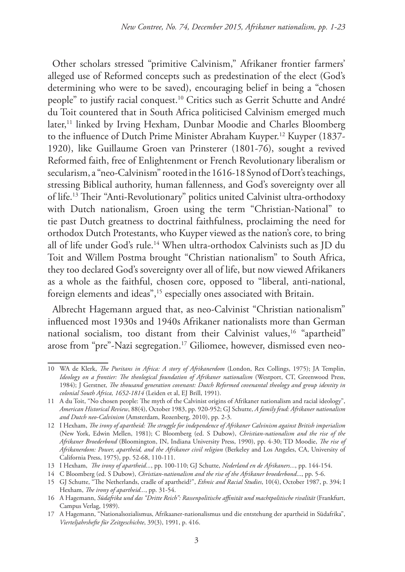Other scholars stressed "primitive Calvinism," Afrikaner frontier farmers' alleged use of Reformed concepts such as predestination of the elect (God's determining who were to be saved), encouraging belief in being a "chosen people" to justify racial conquest.10 Critics such as Gerrit Schutte and André du Toit countered that in South Africa politicised Calvinism emerged much later,<sup>11</sup> linked by Irving Hexham, Dunbar Moodie and Charles Bloomberg to the influence of Dutch Prime Minister Abraham Kuyper.12 Kuyper (1837- 1920), like Guillaume Groen van Prinsterer (1801-76), sought a revived Reformed faith, free of Enlightenment or French Revolutionary liberalism or secularism, a "neo-Calvinism" rooted in the 1616-18 Synod of Dort's teachings, stressing Biblical authority, human fallenness, and God's sovereignty over all of life.13 Their "Anti-Revolutionary" politics united Calvinist ultra-orthodoxy with Dutch nationalism, Groen using the term "Christian-National" to tie past Dutch greatness to doctrinal faithfulness, proclaiming the need for orthodox Dutch Protestants, who Kuyper viewed as the nation's core, to bring all of life under God's rule.14 When ultra-orthodox Calvinists such as JD du Toit and Willem Postma brought "Christian nationalism" to South Africa, they too declared God's sovereignty over all of life, but now viewed Afrikaners as a whole as the faithful, chosen core, opposed to "liberal, anti-national, foreign elements and ideas",<sup>15</sup> especially ones associated with Britain.

Albrecht Hagemann argued that, as neo-Calvinist "Christian nationalism" influenced most 1930s and 1940s Afrikaner nationalists more than German national socialism, too distant from their Calvinist values,<sup>16</sup> "apartheid" arose from "pre"-Nazi segregation.<sup>17</sup> Giliomee, however, dismissed even neo-

<sup>10</sup> WA de Klerk, *The Puritans in Africa: A story of Afrikanerdom* (London, Rex Collings, 1975); JA Templin, *Ideology on a frontier: The theological foundation of Afrikaner nationalism* (Westport, CT, Greenwood Press, 1984); J Gerstner, *The thousand generation covenant: Dutch Reformed covenantal theology and group identity in colonial South Africa, 1652-1814* (Leiden et al, EJ Brill, 1991).

<sup>11</sup> A du Toit, "No chosen people: The myth of the Calvinist origins of Afrikaner nationalism and racial ideology", *American Historical Review*, 88(4), October 1983, pp. 920-952; GJ Schutte, *A family feud: Afrikaner nationalism and Dutch neo-Calvinism* (Amsterdam, Rozenberg, 2010), pp. 2-3.

<sup>12</sup> I Hexham, *The irony of apartheid: The struggle for independence of Afrikaner Calvinism against British imperialism* (New York, Edwin Mellen, 1981); C Bloomberg (ed. S Dubow), *Christian-nationalism and the rise of the Afrikaner Broederbond* (Bloomington, IN, Indiana University Press, 1990), pp. 4-30; TD Moodie, *The rise of Afrikanerdom: Power, apartheid, and the Afrikaner civil religion* (Berkeley and Los Angeles, CA, University of California Press, 1975), pp. 52-68, 110-111.

<sup>13</sup> I Hexham, *The irony of apartheid...*, pp. 100-110; GJ Schutte, *Nederland en de Afrikaners...*, pp. 144-154.

<sup>14</sup> C Bloomberg (ed. S Dubow), *Christian-nationalism and the rise of the Afrikaner broederbond*..., pp. 5-6.

<sup>15</sup> GJ Schutte, "The Netherlands, cradle of apartheid?", *Ethnic and Racial Studies*, 10(4), October 1987, p. 394; I Hexham, *The irony of apartheid...*, pp. 31-54.

<sup>16</sup> A Hagemann, *Südafrika und das "Dritte Reich": Rassenpolitische affinität und machtpolitische rivalität* (Frankfurt, Campus Verlag, 1989).

<sup>17</sup> A Hagemann, "Nationalsozialismus, Afrikaaner-nationalismus und die entstehung der apartheid in Südafrika", *Vierteljahrshefte für Zeitgeschichte*, 39(3), 1991, p. 416.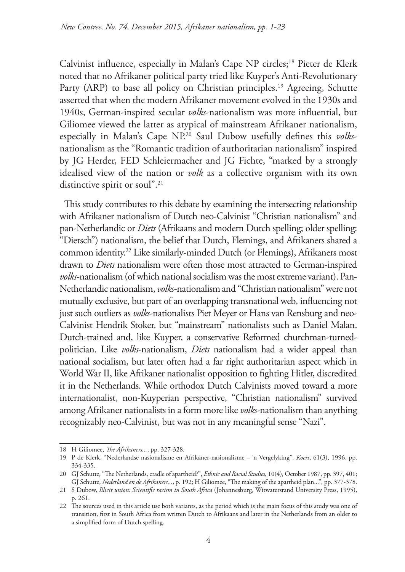Calvinist influence, especially in Malan's Cape NP circles;18 Pieter de Klerk noted that no Afrikaner political party tried like Kuyper's Anti-Revolutionary Party (ARP) to base all policy on Christian principles.<sup>19</sup> Agreeing, Schutte asserted that when the modern Afrikaner movement evolved in the 1930s and 1940s, German-inspired secular *volks*-nationalism was more influential, but Giliomee viewed the latter as atypical of mainstream Afrikaner nationalism, especially in Malan's Cape NP.20 Saul Dubow usefully defines this *volks*nationalism as the "Romantic tradition of authoritarian nationalism" inspired by JG Herder, FED Schleiermacher and JG Fichte, "marked by a strongly idealised view of the nation or *volk* as a collective organism with its own distinctive spirit or soul".<sup>21</sup>

This study contributes to this debate by examining the intersecting relationship with Afrikaner nationalism of Dutch neo-Calvinist "Christian nationalism" and pan-Netherlandic or *Diets* (Afrikaans and modern Dutch spelling; older spelling: "Dietsch") nationalism, the belief that Dutch, Flemings, and Afrikaners shared a common identity.22 Like similarly-minded Dutch (or Flemings), Afrikaners most drawn to *Diets* nationalism were often those most attracted to German-inspired *volks*-nationalism (of which national socialism was the most extreme variant). Pan-Netherlandic nationalism, *volks*-nationalism and "Christian nationalism" were not mutually exclusive, but part of an overlapping transnational web, influencing not just such outliers as *volks*-nationalists Piet Meyer or Hans van Rensburg and neo-Calvinist Hendrik Stoker, but "mainstream" nationalists such as Daniel Malan, Dutch-trained and, like Kuyper, a conservative Reformed churchman-turnedpolitician. Like *volks*-nationalism, *Diets* nationalism had a wider appeal than national socialism, but later often had a far right authoritarian aspect which in World War II, like Afrikaner nationalist opposition to fighting Hitler, discredited it in the Netherlands. While orthodox Dutch Calvinists moved toward a more internationalist, non-Kuyperian perspective, "Christian nationalism" survived among Afrikaner nationalists in a form more like *volks*-nationalism than anything recognizably neo-Calvinist, but was not in any meaningful sense "Nazi".

<sup>18</sup> H Giliomee, *The Afrikaners...*, pp. 327-328.

<sup>19</sup> P de Klerk, "Nederlandse nasionalisme en Afrikaner-nasionalisme – 'n Vergelyking", *Koers*, 61(3), 1996, pp. 334-335.

<sup>20</sup> GJ Schutte, "The Netherlands, cradle of apartheid?", *Ethnic and Racial Studies,* 10(4), October 1987, pp. 397, 401; GJ Schutte, *Nederland en de Afrikaners...*, p. 192; H Giliomee, "The making of the apartheid plan...", pp. 377-378.

<sup>21</sup> S Dubow, *Illicit union: Scientific racism in South Africa* (Johannesburg, Witwatersrand University Press, 1995), p. 261.

<sup>22</sup> The sources used in this article use both variants, as the period which is the main focus of this study was one of transition, first in South Africa from written Dutch to Afrikaans and later in the Netherlands from an older to a simplified form of Dutch spelling.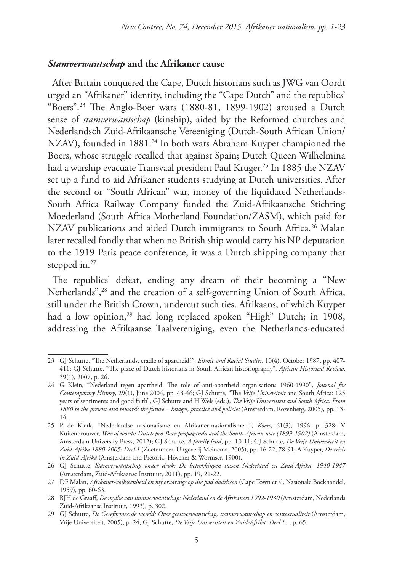# *Stamverwantschap* **and the Afrikaner cause**

After Britain conquered the Cape, Dutch historians such as JWG van Oordt urged an "Afrikaner" identity, including the "Cape Dutch" and the republics' "Boers".23 The Anglo-Boer wars (1880-81, 1899-1902) aroused a Dutch sense of *stamverwantschap* (kinship), aided by the Reformed churches and Nederlandsch Zuid-Afrikaansche Vereeniging (Dutch-South African Union/ NZAV), founded in 1881.<sup>24</sup> In both wars Abraham Kuyper championed the Boers, whose struggle recalled that against Spain; Dutch Queen Wilhelmina had a warship evacuate Transvaal president Paul Kruger.25 In 1885 the NZAV set up a fund to aid Afrikaner students studying at Dutch universities. After the second or "South African" war, money of the liquidated Netherlands-South Africa Railway Company funded the Zuid-Afrikaansche Stichting Moederland (South Africa Motherland Foundation/ZASM), which paid for NZAV publications and aided Dutch immigrants to South Africa.<sup>26</sup> Malan later recalled fondly that when no British ship would carry his NP deputation to the 1919 Paris peace conference, it was a Dutch shipping company that stepped in.<sup>27</sup>

The republics' defeat, ending any dream of their becoming a "New Netherlands",<sup>28</sup> and the creation of a self-governing Union of South Africa, still under the British Crown, undercut such ties. Afrikaans, of which Kuyper had a low opinion,<sup>29</sup> had long replaced spoken "High" Dutch; in 1908, addressing the Afrikaanse Taalvereniging, even the Netherlands-educated

<sup>23</sup> GJ Schutte, "The Netherlands, cradle of apartheid?", *Ethnic and Racial Studies,* 10(4), October 1987, pp. 407- 411; GJ Schutte, "The place of Dutch historians in South African historiography", *African Historical Review*, 39(1), 2007, p. 26.

<sup>24</sup> G Klein, "Nederland tegen apartheid: The role of anti-apartheid organisations 1960-1990", *Journal for Contemporary History*, 29(1), June 2004, pp. 43-46; GJ Schutte, "The *Vrije Universiteit* and South Africa: 125 years of sentiments and good faith", GJ Schutte and H Wels (eds.), *The Vrije Universiteit and South Africa: From 1880 to the present and towards the future – Images, practice and policies* (Amsterdam, Rozenberg, 2005), pp. 13- 14.

<sup>25</sup> P de Klerk, "Nederlandse nasionalisme en Afrikaner-nasionalisme...", *Koers*, 61(3), 1996, p. 328; V Kuitenbrouwer, *War of words: Dutch pro-Boer propaganda and the South African war (1899-1902)* (Amsterdam, Amsterdam University Press, 2012); GJ Schutte, *A family feud*, pp. 10-11; GJ Schutte, *De Vrije Universiteit en Zuid-Afrika 1880-2005: Deel 1* (Zoetermeer, Uitgeverij Meinema, 2005), pp. 16-22, 78-91; A Kuyper, *De crisis in Zuid-Afrika* (Amsterdam and Pretoria, Hõveker & Wormser, 1900).

<sup>26</sup> GJ Schutte, *Stamverwantschap onder druk: De betrekkingen tussen Nederland en Zuid-Afrika, 1940-1947* (Amsterdam, Zuid-Afrikaanse Instituut, 2011), pp. 19, 21-22.

<sup>27</sup> DF Malan, *Afrikaner-volkseenheid en my ervarings op die pad daarheen* (Cape Town et al, Nasionale Boekhandel, 1959), pp. 60-63.

<sup>28</sup> BJH de Graaff, *De mythe van stamverwantschap: Nederland en de Afrikaners 1902-1930* (Amsterdam, Nederlands Zuid-Afrikaanse Instituut, 1993), p. 302.

<sup>29</sup> GJ Schutte, *De Gereformeerde wereld: Over geestverwantschap, stamverwantschap en contextualiteit* (Amsterdam, Vrije Universiteit, 2005), p. 24; GJ Schutte, *De Vrije Universiteit en Zuid-Afrika: Deel I...*, p. 65.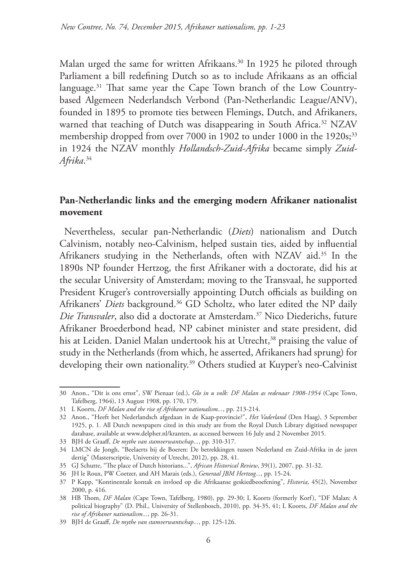Malan urged the same for written Afrikaans.<sup>30</sup> In 1925 he piloted through Parliament a bill redefining Dutch so as to include Afrikaans as an official language.<sup>31</sup> That same year the Cape Town branch of the Low Countrybased Algemeen Nederlandsch Verbond (Pan-Netherlandic League/ANV), founded in 1895 to promote ties between Flemings, Dutch, and Afrikaners, warned that teaching of Dutch was disappearing in South Africa.<sup>32</sup> NZAV membership dropped from over 7000 in 1902 to under 1000 in the 1920s;<sup>33</sup> in 1924 the NZAV monthly *Hollandsch-Zuid-Afrika* became simply *Zuid-Afrika*. 34

# **Pan-Netherlandic links and the emerging modern Afrikaner nationalist movement**

Nevertheless, secular pan-Netherlandic (*Diets*) nationalism and Dutch Calvinism, notably neo-Calvinism, helped sustain ties, aided by influential Afrikaners studying in the Netherlands, often with NZAV aid.35 In the 1890s NP founder Hertzog, the first Afrikaner with a doctorate, did his at the secular University of Amsterdam; moving to the Transvaal, he supported President Kruger's controversially appointing Dutch officials as building on Afrikaners' *Diets* background.<sup>36</sup> GD Scholtz, who later edited the NP daily *Die Transvaler*, also did a doctorate at Amsterdam.37 Nico Diederichs, future Afrikaner Broederbond head, NP cabinet minister and state president, did his at Leiden. Daniel Malan undertook his at Utrecht,<sup>38</sup> praising the value of study in the Netherlands (from which, he asserted, Afrikaners had sprung) for developing their own nationality.<sup>39</sup> Others studied at Kuyper's neo-Calvinist

<sup>30</sup> Anon., "Dit is ons ernst", SW Pienaar (ed.), *Glo in u volk: DF Malan as redenaar 1908-1954* (Cape Town, Tafelberg, 1964), 13 August 1908, pp. 170, 179.

<sup>31</sup> L Koorts, *DF Malan and the rise of Afrikaner nationalism...*, pp. 213-214.

<sup>32</sup> Anon., "Heeft het Nederlandsch afgedaan in de Kaap-provincie?", *Het Vaderland* (Den Haag), 3 September 1925, p. 1. All Dutch newspapers cited in this study are from the Royal Dutch Library digitised newspaper database, available at www.delpher.nl/kranten, as accessed between 16 July and 2 November 2015.

<sup>33</sup> BJH de Graaff, *De mythe van stamverwantschap...*, pp. 310-317.

<sup>34</sup> LMCN de Jongh, "Beelaerts bij de Boeren: De betrekkingen tussen Nederland en Zuid-Afrika in de jaren dertig" (Masterscriptie, University of Utrecht, 2012), pp. 28, 41.

<sup>35</sup> GJ Schutte, "The place of Dutch historians...", *African Historical Review*, 39(1), 2007, pp. 31-32.

<sup>36</sup> JH le Roux, PW Coetzer, and AH Marais (eds.), *Generaal JBM Hertzog...*, pp. 15-24.

<sup>37</sup> P Kapp, "Kontinentale kontak en invloed op die Afrikaanse geskiedbeoefening", *Historia*, 45(2), November 2000, p. 416.

<sup>38</sup> HB Thom, *DF Malan* (Cape Town, Tafelberg, 1980), pp. 29-30; L Koorts (formerly Korf), "DF Malan: A political biography" (D. Phil., University of Stellenbosch, 2010), pp. 34-35, 41; L Koorts, *DF Malan and the rise of Afrikaner nationalism...*, pp. 26-31.

<sup>39</sup> BJH de Graaff, *De mythe van stamverwantschap...*, pp. 125-126.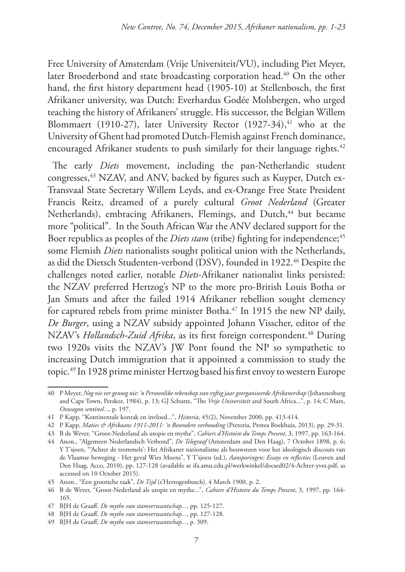Free University of Amsterdam (Vrije Universiteit/VU), including Piet Meyer, later Broederbond and state broadcasting corporation head.<sup>40</sup> On the other hand, the first history department head (1905-10) at Stellenbosch, the first Afrikaner university, was Dutch: Everhardus Godée Molsbergen, who urged teaching the history of Afrikaners' struggle. His successor, the Belgian Willem Blommaert (1910-27), later University Rector  $(1927-34),$ <sup>41</sup> who at the University of Ghent had promoted Dutch-Flemish against French dominance, encouraged Afrikaner students to push similarly for their language rights.<sup>42</sup>

The early *Diets* movement, including the pan-Netherlandic student congresses,<sup>43</sup> NZAV, and ANV, backed by figures such as Kuyper, Dutch ex-Transvaal State Secretary Willem Leyds, and ex-Orange Free State President Francis Reitz, dreamed of a purely cultural *Groot Nederland* (Greater Netherlands), embracing Afrikaners, Flemings, and Dutch,<sup>44</sup> but became more "political". In the South African War the ANV declared support for the Boer republics as peoples of the *Diets stam* (tribe) fighting for independence;<sup>45</sup> some Flemish *Diets* nationalists sought political union with the Netherlands, as did the Dietsch Studenten-verbond (DSV), founded in 1922.46 Despite the challenges noted earlier, notable *Diets*-Afrikaner nationalist links persisted: the NZAV preferred Hertzog's NP to the more pro-British Louis Botha or Jan Smuts and after the failed 1914 Afrikaner rebellion sought clemency for captured rebels from prime minister Botha.<sup>47</sup> In 1915 the new NP daily, *De Burger*, using a NZAV subsidy appointed Johann Visscher, editor of the NZAV's *Hollandsch-Zuid Afrika*, as its first foreign correspondent.<sup>48</sup> During two 1920s visits the NZAV's JW Pont found the NP so sympathetic to increasing Dutch immigration that it appointed a commission to study the topic.49 In 1928 prime minister Hertzog based his first envoy to western Europe

<sup>40</sup> P Meyer, *Nog nie ver genoeg nie: 'n Persoonlike rekenskap van vyftig jaar georganiseerde Afrikanerskap* (Johannesburg and Cape Town, Perskor, 1984), p. 13; GJ Schutte, "The *Vrije Universiteit* and South Africa...", p. 14; C Marx, *Oxwagon sentinel...*, p. 197.

<sup>41</sup> P Kapp, "Kontinentale kontak en invloed...", *Historia*, 45(2), November 2000, pp. 413-414.

<sup>42</sup> P Kapp, *Maties & Afrikaans 1911-2011: 'n Besondere verhouding* (Pretoria, Protea Boekhuis, 2013), pp. 29-31.

<sup>43</sup> B de Wever, "Groot-Nederland als utopie en mythe", *Cahiers d'Histoire du Temps Present*, 3, 1997, pp. 163-164.

<sup>44</sup> Anon., "Algemeen Nederlandsch Verbond", *De Telegraaf* (Amsterdam and Den Haag), 7 October 1898, p. 6; Y T'sjoen, "'Achter de trommels': Het Afrikaner nationalisme als bouwsteen voor het ideologisch discours van de Vlaamse beweging - Het geval Wies Moens", Y T'sjoen (ed.), *Aansporingen: Essays en reflecties* (Leuven and Den Haag, Acco, 2010), pp. 127-128 (available at ifa.amu.edu.pl/werkwinkel/docsed02/4-Achter-yves.pdf, as accessed on 10 October 2015).

<sup>45</sup> Anon., "Een grootsche taak", *De Tijd* (s'Hertogenbosch), 4 March 1900, p. 2.

<sup>46</sup> B de Wever, "Groot-Nederland als utopie en mythe...", *Cahiers d'Histoire du Temps Present*, 3, 1997, pp. 164- 165.

<sup>47</sup> BJH de Graaff, *De mythe van stamverwantschap...*, pp. 125-127.

<sup>48</sup> BJH de Graaff, *De mythe van stamverwantschap...*, pp. 127-128.

<sup>49</sup> BJH de Graaff, *De mythe van stamverwantschap...*, p. 309.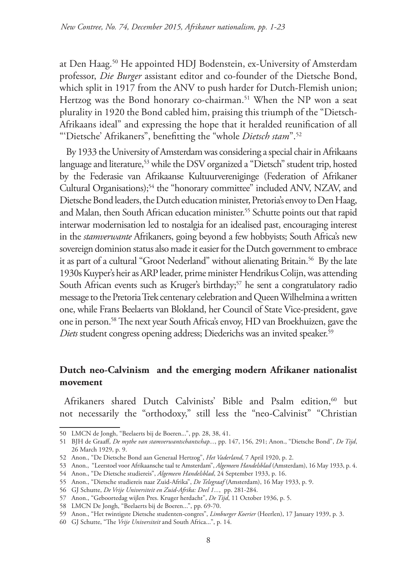at Den Haag.50 He appointed HDJ Bodenstein, ex-University of Amsterdam professor, *Die Burger* assistant editor and co-founder of the Dietsche Bond, which split in 1917 from the ANV to push harder for Dutch-Flemish union; Hertzog was the Bond honorary co-chairman.<sup>51</sup> When the NP won a seat plurality in 1920 the Bond cabled him, praising this triumph of the "Dietsch-Afrikaans ideal" and expressing the hope that it heralded reunification of all "'Dietsche' Afrikaners", benefitting the "whole *Dietsch stam*".52

 By 1933 the University of Amsterdam was considering a special chair in Afrikaans language and literature,<sup>53</sup> while the DSV organized a "Dietsch" student trip, hosted by the Federasie van Afrikaanse Kultuurvereniginge (Federation of Afrikaner Cultural Organisations);<sup>54</sup> the "honorary committee" included ANV, NZAV, and Dietsche Bond leaders, the Dutch education minister, Pretoria's envoy to Den Haag, and Malan, then South African education minister.<sup>55</sup> Schutte points out that rapid interwar modernisation led to nostalgia for an idealised past, encouraging interest in the *stamverwante* Afrikaners, going beyond a few hobbyists; South Africa's new sovereign dominion status also made it easier for the Dutch government to embrace it as part of a cultural "Groot Nederland" without alienating Britain.<sup>56</sup> By the late 1930s Kuyper's heir as ARP leader, prime minister Hendrikus Colijn, was attending South African events such as Kruger's birthday;<sup>57</sup> he sent a congratulatory radio message to the Pretoria Trek centenary celebration and Queen Wilhelmina a written one, while Frans Beelaerts van Blokland, her Council of State Vice-president, gave one in person.58 The next year South Africa's envoy, HD van Broekhuizen, gave the *Diets* student congress opening address; Diederichs was an invited speaker.<sup>59</sup>

# **Dutch neo-Calvinism and the emerging modern Afrikaner nationalist movement**

Afrikaners shared Dutch Calvinists' Bible and Psalm edition,<sup>60</sup> but not necessarily the "orthodoxy," still less the "neo-Calvinist" "Christian

<sup>50</sup> LMCN de Jongh, "Beelaerts bij de Boeren...", pp. 28, 38, 41.

<sup>51</sup> BJH de Graaff, *De mythe van stamverwantschantschap...*, pp. 147, 156, 291; Anon., "Dietsche Bond", *De Tijd*, 26 March 1929, p. 9.

<sup>52</sup> Anon., "De Dietsche Bond aan Generaal Hertzog", *Het Vaderland*, 7 April 1920, p. 2.

<sup>53</sup> Anon., "Leerstoel voor Afrikaansche taal te Amsterdam", *Algemeen Handelsblad* (Amsterdam), 16 May 1933, p. 4.

<sup>54</sup> Anon., "De Dietsche studiereis", *Algemeen Handelsblad*, 24 September 1933, p. 16.

<sup>55</sup> Anon., "Dietsche studiereis naar Zuid-Afrika", *De Telegraaf* (Amsterdam), 16 May 1933, p. 9.

<sup>56</sup> GJ Schutte, *De Vrije Universiteit en Zuid-Afrika: Deel 1...*, pp. 281-284.

<sup>57</sup> Anon., "Geboortedag wijlen Pres. Kruger herdacht", *De Tijd*, 11 October 1936, p. 5.

<sup>58</sup> LMCN De Jongh, "Beelaerts bij de Boeren...", pp. 69-70.

<sup>59</sup> Anon., "Het twintigste Dietsche studenten-congres", *Limburger Koerier* (Heerlen), 17 January 1939, p. 3.

<sup>60</sup> GJ Schutte, "The *Vrije Universiteit* and South Africa...", p. 14.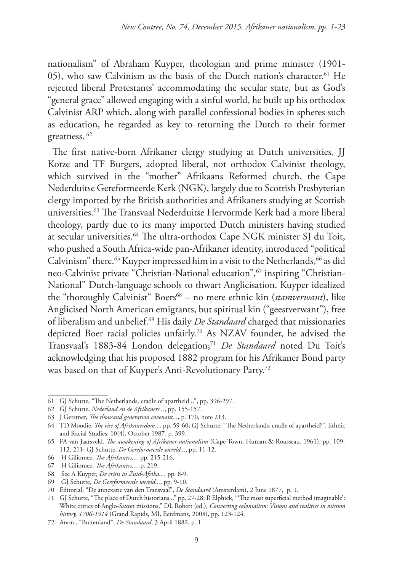nationalism" of Abraham Kuyper, theologian and prime minister (1901- 05), who saw Calvinism as the basis of the Dutch nation's character.<sup>61</sup> He rejected liberal Protestants' accommodating the secular state, but as God's "general grace" allowed engaging with a sinful world, he built up his orthodox Calvinist ARP which, along with parallel confessional bodies in spheres such as education, he regarded as key to returning the Dutch to their former greatness. 62

The first native-born Afrikaner clergy studying at Dutch universities, JJ Kotze and TF Burgers, adopted liberal, not orthodox Calvinist theology, which survived in the "mother" Afrikaans Reformed church, the Cape Nederduitse Gereformeerde Kerk (NGK), largely due to Scottish Presbyterian clergy imported by the British authorities and Afrikaners studying at Scottish universities.63 The Transvaal Nederduitse Hervormde Kerk had a more liberal theology, partly due to its many imported Dutch ministers having studied at secular universities.64 The ultra-orthodox Cape NGK minister SJ du Toit, who pushed a South Africa-wide pan-Afrikaner identity, introduced "political Calvinism" there.<sup>65</sup> Kuyper impressed him in a visit to the Netherlands,<sup>66</sup> as did neo-Calvinist private "Christian-National education",<sup>67</sup> inspiring "Christian-National" Dutch-language schools to thwart Anglicisation. Kuyper idealized the "thoroughly Calvinist" Boers<sup>68</sup> – no mere ethnic kin (*stamverwant*), like Anglicised North American emigrants, but spiritual kin ("geestverwant"), free of liberalism and unbelief.69 His daily *De Standaard* charged that missionaries depicted Boer racial policies unfairly.70 As NZAV founder, he advised the Transvaal's 1883-84 London delegation;<sup>71</sup> *De Standaard* noted Du Toit's acknowledging that his proposed 1882 program for his Afrikaner Bond party was based on that of Kuyper's Anti-Revolutionary Party.72

<sup>61</sup> GJ Schutte, "The Netherlands, cradle of apartheid...", pp. 396-297.

<sup>62</sup> GJ Schutte, *Nederland en de Afrikaners...*, pp. 155-157.

<sup>63</sup> J Gerstner, *The thousand generation covenant...*, p. 170, note 213.

<sup>64</sup> TD Moodie, *The rise of Afrikanerdom*,... pp. 59-60; GJ Schutte, "The Netherlands, cradle of apartheid?", Ethnic and Racial Studies, 10(4), October 1987, p. 399.

<sup>65</sup> FA van Jaarsveld, *The awakening of Afrikaner nationalism* (Cape Town, Human & Rousseau, 1961), pp. 109- 112, 211; GJ Schutte, *De Gereformeerde wereld...*, pp. 11-12.

<sup>66</sup> H Giliomee, *The Afrikaners...*, pp. 215-216.

<sup>67</sup> H Giliomee, *The Afrikaners...*, p. 219.

<sup>68</sup> See A Kuyper, *De crisis in Zuid-Afrika...*, pp. 8-9.

<sup>69</sup> GJ Schutte, *De Gereformeerde wereld...*, pp. 9-10.

<sup>70</sup> Editorial, "De annexatie van den Transvaal", *De Standaard* (Amsterdam), 2 June 1877, p. 1.

<sup>71</sup> GJ Schutte, "The place of Dutch historians..." pp. 27-28; R Elphick, "'The most superficial method imaginable': White critics of Anglo-Saxon missions," DL Robert (ed.), *Converting colonialism: Visions and realities in mission history, 1706-1914* (Grand Rapids, MI, Eerdmans, 2008), pp. 123-124.

<sup>72</sup> Anon., "Buitenland", *De Standaard*, 3 April 1882, p. 1.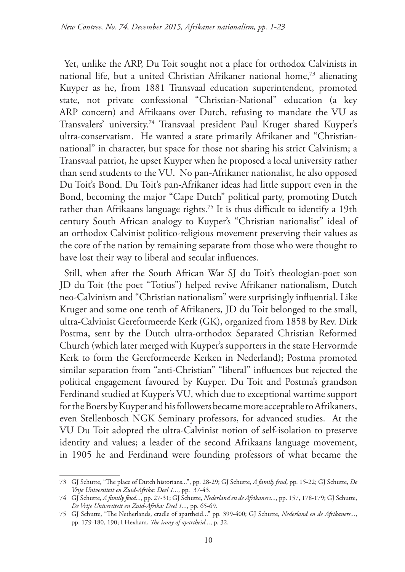Yet, unlike the ARP, Du Toit sought not a place for orthodox Calvinists in national life, but a united Christian Afrikaner national home,<sup>73</sup> alienating Kuyper as he, from 1881 Transvaal education superintendent, promoted state, not private confessional "Christian-National" education (a key ARP concern) and Afrikaans over Dutch, refusing to mandate the VU as Transvalers' university.74 Transvaal president Paul Kruger shared Kuyper's ultra-conservatism. He wanted a state primarily Afrikaner and "Christiannational" in character, but space for those not sharing his strict Calvinism; a Transvaal patriot, he upset Kuyper when he proposed a local university rather than send students to the VU. No pan-Afrikaner nationalist, he also opposed Du Toit's Bond. Du Toit's pan-Afrikaner ideas had little support even in the Bond, becoming the major "Cape Dutch" political party, promoting Dutch rather than Afrikaans language rights.<sup>75</sup> It is thus difficult to identify a 19th century South African analogy to Kuyper's "Christian nationalist" ideal of an orthodox Calvinist politico-religious movement preserving their values as the core of the nation by remaining separate from those who were thought to have lost their way to liberal and secular influences.

Still, when after the South African War SJ du Toit's theologian-poet son JD du Toit (the poet "Totius") helped revive Afrikaner nationalism, Dutch neo-Calvinism and "Christian nationalism" were surprisingly influential. Like Kruger and some one tenth of Afrikaners, JD du Toit belonged to the small, ultra-Calvinist Gereformeerde Kerk (GK), organized from 1858 by Rev. Dirk Postma, sent by the Dutch ultra-orthodox Separated Christian Reformed Church (which later merged with Kuyper's supporters in the state Hervormde Kerk to form the Gereformeerde Kerken in Nederland); Postma promoted similar separation from "anti-Christian" "liberal" influences but rejected the political engagement favoured by Kuyper. Du Toit and Postma's grandson Ferdinand studied at Kuyper's VU, which due to exceptional wartime support for the Boers by Kuyper and his followers became more acceptable to Afrikaners, even Stellenbosch NGK Seminary professors, for advanced studies. At the VU Du Toit adopted the ultra-Calvinist notion of self-isolation to preserve identity and values; a leader of the second Afrikaans language movement, in 1905 he and Ferdinand were founding professors of what became the

<sup>73</sup> GJ Schutte, "The place of Dutch historians...", pp. 28-29; GJ Schutte, *A family feud*, pp. 15-22; GJ Schutte, *De Vrije Universiteit en Zuid-Afrika: Deel 1...*, pp. 37-43.

<sup>74</sup> GJ Schutte, *A family feud...*, pp. 27-31; GJ Schutte, *Nederland en de Afrikaners...*, pp. 157, 178-179; GJ Schutte, *De Vrije Universiteit en Zuid-Afrika: Deel 1...*, pp. 65-69.

<sup>75</sup> GJ Schutte, "The Netherlands, cradle of apartheid..." pp. 399-400; GJ Schutte, *Nederland en de Afrikaners...*, pp. 179-180, 190; I Hexham, *The irony of apartheid...*, p. 32.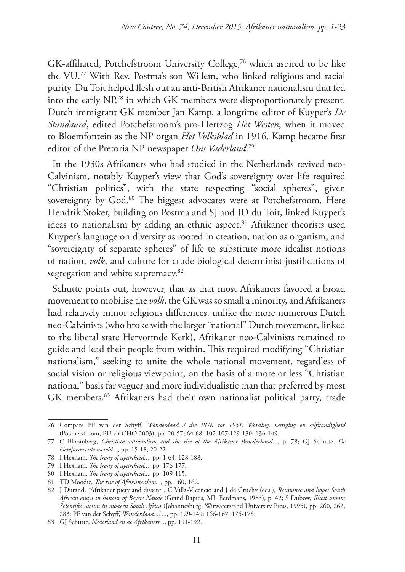GK-affiliated, Potchefstroom University College,76 which aspired to be like the VU.77 With Rev. Postma's son Willem, who linked religious and racial purity, Du Toit helped flesh out an anti-British Afrikaner nationalism that fed into the early NP,78 in which GK members were disproportionately present. Dutch immigrant GK member Jan Kamp, a longtime editor of Kuyper's *De Standaard*, edited Potchefstroom's pro-Hertzog *Het Westen*; when it moved to Bloemfontein as the NP organ *Het Volksblad* in 1916, Kamp became first editor of the Pretoria NP newspaper *Ons Vaderland*. 79

In the 1930s Afrikaners who had studied in the Netherlands revived neo-Calvinism, notably Kuyper's view that God's sovereignty over life required "Christian politics", with the state respecting "social spheres", given sovereignty by God.<sup>80</sup> The biggest advocates were at Potchefstroom. Here Hendrik Stoker, building on Postma and SJ and JD du Toit, linked Kuyper's ideas to nationalism by adding an ethnic aspect.<sup>81</sup> Afrikaner theorists used Kuyper's language on diversity as rooted in creation, nation as organism, and "sovereignty of separate spheres" of life to substitute more idealist notions of nation, *volk*, and culture for crude biological determinist justifications of segregation and white supremacy.<sup>82</sup>

Schutte points out, however, that as that most Afrikaners favored a broad movement to mobilise the *volk*, the GK was so small a minority, and Afrikaners had relatively minor religious differences, unlike the more numerous Dutch neo-Calvinists (who broke with the larger "national" Dutch movement, linked to the liberal state Hervormde Kerk), Afrikaner neo-Calvinists remained to guide and lead their people from within. This required modifying "Christian nationalism," seeking to unite the whole national movement, regardless of social vision or religious viewpoint, on the basis of a more or less "Christian national" basis far vaguer and more individualistic than that preferred by most GK members.83 Afrikaners had their own nationalist political party, trade

<sup>76</sup> Compare PF van der Schyff, *Wonderdaad...! die PUK tot 1951: Wording, vestiging en selfstandigheid* (Potchefstroom, PU vir CHO,2003), pp. 20-57; 64-68; 102-107;129-130; 136-149.

<sup>77</sup> C Bloomberg, *Christian-nationalism and the rise of the Afrikaner Broederbond...*, p. 78; GJ Schutte, *De Gereformeerde wereld...*, pp. 15-18, 20-22.

<sup>78</sup> I Hexham, *The irony of apartheid...*, pp. 1-64, 128-188.

<sup>79</sup> I Hexham, *The irony of apartheid...*, pp. 176-177.

<sup>80</sup> I Hexham, *The irony of apartheid*,... pp. 109-115.

<sup>81</sup> TD Moodie, *The rise of Afrikanerdom...*, pp. 160, 162.

<sup>82</sup> J Durand, "Afrikaner piety and dissent", C Villa-Vicencio and J de Gruchy (eds.), *Resistance and hope: South African essays in honour of Beyers Naudé* (Grand Rapids, MI, Eerdmans, 1985), p. 42; S Dubow, *Illicit union: Scientific racism in modern South Africa* (Johannesburg, Witwatersrand University Press, 1995), pp. 260, 262, 283; PF van der Schyff, *Wonderdaad...! ...*, pp. 129-149; 166-167; 175-178.

<sup>83</sup> GJ Schutte, *Nederland en de Afrikaners...*, pp. 191-192.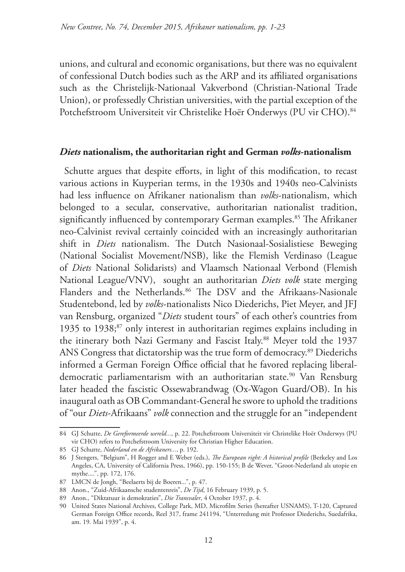unions, and cultural and economic organisations, but there was no equivalent of confessional Dutch bodies such as the ARP and its affiliated organisations such as the Christelijk-Nationaal Vakverbond (Christian-National Trade Union), or professedly Christian universities, with the partial exception of the Potchefstroom Universiteit vir Christelike Hoër Onderwys (PU vir CHO).<sup>84</sup>

#### *Diets* **nationalism, the authoritarian right and German** *volks***-nationalism**

Schutte argues that despite efforts, in light of this modification, to recast various actions in Kuyperian terms, in the 1930s and 1940s neo-Calvinists had less influence on Afrikaner nationalism than *volks*-nationalism, which belonged to a secular, conservative, authoritarian nationalist tradition, significantly influenced by contemporary German examples.<sup>85</sup> The Afrikaner neo-Calvinist revival certainly coincided with an increasingly authoritarian shift in *Diets* nationalism. The Dutch Nasionaal-Sosialistiese Beweging (National Socialist Movement/NSB), like the Flemish Verdinaso (League of *Diets* National Solidarists) and Vlaamsch Nationaal Verbond (Flemish National League/VNV), sought an authoritarian *Diets volk* state merging Flanders and the Netherlands.<sup>86</sup> The DSV and the Afrikaans-Nasionale Studentebond, led by *volks*-nationalists Nico Diederichs, Piet Meyer, and JFJ van Rensburg, organized "*Diets* student tours" of each other's countries from 1935 to 1938;87 only interest in authoritarian regimes explains including in the itinerary both Nazi Germany and Fascist Italy.<sup>88</sup> Meyer told the 1937 ANS Congress that dictatorship was the true form of democracy.<sup>89</sup> Diederichs informed a German Foreign Office official that he favored replacing liberaldemocratic parliamentarism with an authoritarian state.<sup>90</sup> Van Rensburg later headed the fascistic Ossewabrandwag (Ox-Wagon Guard/OB). In his inaugural oath as OB Commandant-General he swore to uphold the traditions of "our *Diets*-Afrikaans" *volk* connection and the struggle for an "independent

<sup>84</sup> GJ Schutte, *De Gereformeerde wereld...*, p. 22. Potchefstroom Universiteit vir Christelike Hoër Onderwys (PU vir CHO) refers to Potchefstroom University for Christian Higher Education.

<sup>85</sup> GJ Schutte, *Nederland en de Afrikaners...*, p. 192.

<sup>86</sup> J Stengers, "Belgium", H Rogger and E Weber (eds.), *The European right: A historical profile* (Berkeley and Los Angeles, CA, University of California Press, 1966), pp. 150-155; B de Wever, "Groot-Nederland als utopie en mythe....", pp. 172, 176.

<sup>87</sup> LMCN de Jongh, "Beelaerts bij de Boeren...", p. 47.

<sup>88</sup> Anon., "Zuid-Afrikaansche studentenreis", *De Tijd*, 16 February 1939, p. 5.

<sup>89</sup> Anon., "Diktatuur is demokraties", *Die Transvaler*, 4 October 1937, p. 4.

<sup>90</sup> United States National Archives, College Park, MD, Microfilm Series (hereafter USNAMS), T-120, Captured German Foreign Office records, Reel 317, frame 241194, "Unterredung mit Professor Diederichs, Suedafrika, am. 19. Mai 1939", p. 4.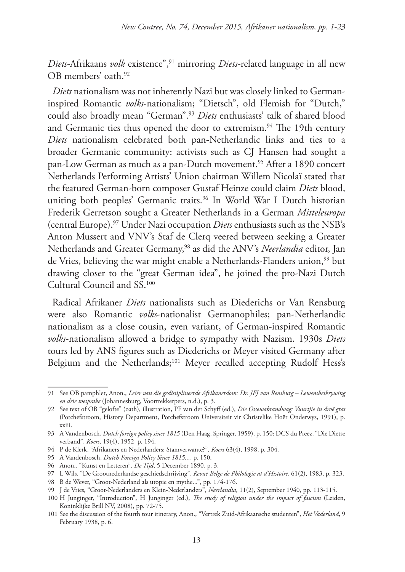*Diets*-Afrikaans *volk* existence",91 mirroring *Diets*-related language in all new OB members' oath.92

*Diets* nationalism was not inherently Nazi but was closely linked to Germaninspired Romantic *volks*-nationalism; "Dietsch", old Flemish for "Dutch," could also broadly mean "German".93 *Diets* enthusiasts' talk of shared blood and Germanic ties thus opened the door to extremism.<sup>94</sup> The 19th century *Diets* nationalism celebrated both pan-Netherlandic links and ties to a broader Germanic community: activists such as CJ Hansen had sought a pan-Low German as much as a pan-Dutch movement.<sup>95</sup> After a 1890 concert Netherlands Performing Artists' Union chairman Willem Nicolaï stated that the featured German-born composer Gustaf Heinze could claim *Diets* blood, uniting both peoples' Germanic traits.<sup>96</sup> In World War I Dutch historian Frederik Gerretson sought a Greater Netherlands in a German *Mitteleuropa* (central Europe).97 Under Nazi occupation *Diets* enthusiasts such as the NSB's Anton Mussert and VNV's Staf de Clerq veered between seeking a Greater Netherlands and Greater Germany,98 as did the ANV's *Neerlandia* editor, Jan de Vries, believing the war might enable a Netherlands-Flanders union,<sup>99</sup> but drawing closer to the "great German idea", he joined the pro-Nazi Dutch Cultural Council and SS.100

Radical Afrikaner *Diets* nationalists such as Diederichs or Van Rensburg were also Romantic *volks*-nationalist Germanophiles; pan-Netherlandic nationalism as a close cousin, even variant, of German-inspired Romantic *volks*-nationalism allowed a bridge to sympathy with Nazism. 1930s *Diets* tours led by ANS figures such as Diederichs or Meyer visited Germany after Belgium and the Netherlands;<sup>101</sup> Meyer recalled accepting Rudolf Hess's

<sup>91</sup> See OB pamphlet, Anon., *Leier van die gedissiplineerde Afrikanerdom: Dr. JFJ van Rensburg – Lewensbeskrywing en drie toesprake* (Johannesburg, Voortrekkerpers, n.d.), p. 3.

<sup>92</sup> See text of OB "gelofte" (oath), illustration, PF van der Schyff (ed.), *Die Ossewabrandwag: Vuurtjie in droë gras* (Potchefstroom, History Department, Potchefstroom Universiteit vir Christelike Hoër Onderwys, 1991), p. xxiii.

<sup>93</sup> A Vandenbosch, *Dutch foreign policy since 1815* (Den Haag, Springer, 1959), p. 150; DCS du Preez, "Die Dietse verband", *Koers*, 19(4), 1952, p. 194.

<sup>94</sup> P de Klerk, "Afrikaners en Nederlanders: Stamverwante?", *Koers* 63(4), 1998, p. 304.

<sup>95</sup> A Vandenbosch, *Dutch Foreign Policy Since 1815...*, p. 150.

<sup>96</sup> Anon., "Kunst en Letteren", *De Tijd*, 5 December 1890, p. 3.

<sup>97</sup> L Wils, "De Grootnederlandse geschiedschrijving", *Revue Belge de Philologie at d'Histoire*, 61(2), 1983, p. 323.

<sup>98</sup> B de Wever, "Groot-Nederland als utopie en mythe...", pp. 174-176.

<sup>99</sup> J de Vries, "Groot-Nederlanders en Klein-Nederlanders", *Neerlandia*, 11(2), September 1940, pp. 113-115.

<sup>100</sup> H Junginger, "Introduction", H Junginger (ed.), *The study of religion under the impact of fascism* (Leiden, Koninklijke Brill NV, 2008), pp. 72-75.

<sup>101</sup> See the discussion of the fourth tour itinerary, Anon., "Vertrek Zuid-Afrikaansche studenten", *Het Vaderland*, 9 February 1938, p. 6.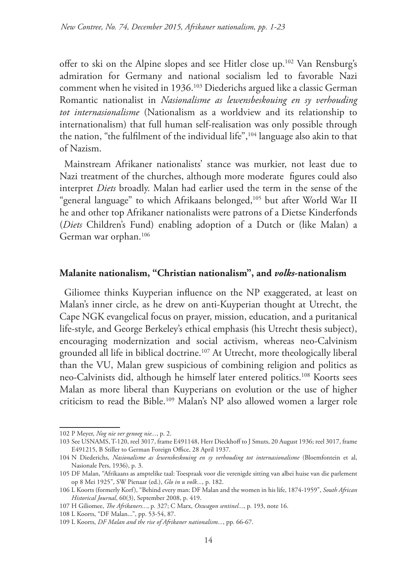offer to ski on the Alpine slopes and see Hitler close up.102 Van Rensburg's admiration for Germany and national socialism led to favorable Nazi comment when he visited in 1936.103 Diederichs argued like a classic German Romantic nationalist in *Nasionalisme as lewensbeskouing en sy verhouding tot internasionalisme* (Nationalism as a worldview and its relationship to internationalism) that full human self-realisation was only possible through the nation, "the fulfilment of the individual life",104 language also akin to that of Nazism.

Mainstream Afrikaner nationalists' stance was murkier, not least due to Nazi treatment of the churches, although more moderate figures could also interpret *Diets* broadly. Malan had earlier used the term in the sense of the "general language" to which Afrikaans belonged,<sup>105</sup> but after World War II he and other top Afrikaner nationalists were patrons of a Dietse Kinderfonds (*Diets* Children's Fund) enabling adoption of a Dutch or (like Malan) a German war orphan.106

#### **Malanite nationalism, "Christian nationalism", and** *volks***-nationalism**

Giliomee thinks Kuyperian influence on the NP exaggerated, at least on Malan's inner circle, as he drew on anti-Kuyperian thought at Utrecht, the Cape NGK evangelical focus on prayer, mission, education, and a puritanical life-style, and George Berkeley's ethical emphasis (his Utrecht thesis subject), encouraging modernization and social activism, whereas neo-Calvinism grounded all life in biblical doctrine.<sup>107</sup> At Utrecht, more theologically liberal than the VU, Malan grew suspicious of combining religion and politics as neo-Calvinists did, although he himself later entered politics.<sup>108</sup> Koorts sees Malan as more liberal than Kuyperians on evolution or the use of higher criticism to read the Bible.109 Malan's NP also allowed women a larger role

<sup>102</sup> P Meyer, *Nog nie ver genoeg nie...*, p. 2.

<sup>103</sup> See USNAMS, T-120, reel 3017, frame E491148, Herr Dieckhoff to J Smuts, 20 August 1936; reel 3017, frame E491215, B Stiller to German Foreign Office, 28 April 1937.

<sup>104</sup> N Diederichs, *Nasionalisme as lewensbeskouing en sy verhouding tot internasionalisme* (Bloemfontein et al, Nasionale Pers, 1936), p. 3.

<sup>105</sup> DF Malan, "Afrikaans as amptelike taal: Toespraak voor die verenigde sitting van albei huise van die parlement op 8 Mei 1925", SW Pienaar (ed.), *Glo in u volk...*, p. 182.

<sup>106</sup> L Koorts (formerly Korf), "Behind every man: DF Malan and the women in his life, 1874-1959", *South African Historical Journal*, 60(3), September 2008, p. 419.

<sup>107</sup> H Giliomee, *The Afrikaners...*, p. 327; C Marx, *Oxwagon sentinel...*, p. 193, note 16.

<sup>108</sup> L Koorts, "DF Malan...", pp. 53-54, 87.

<sup>109</sup> L Koorts, *DF Malan and the rise of Afrikaner nationalism...*, pp. 66-67.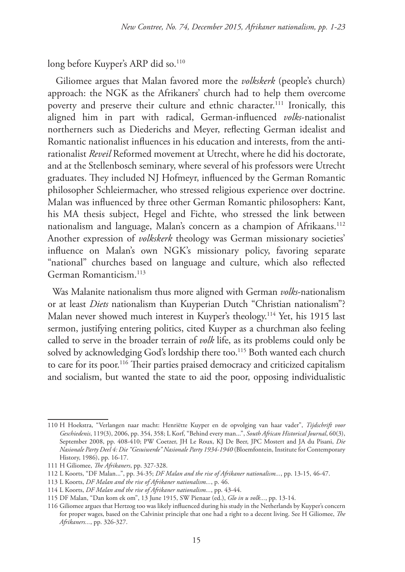long before Kuyper's ARP did so.<sup>110</sup>

 Giliomee argues that Malan favored more the *volkskerk* (people's church) approach: the NGK as the Afrikaners' church had to help them overcome poverty and preserve their culture and ethnic character.<sup>111</sup> Ironically, this aligned him in part with radical, German-influenced *volks*-nationalist northerners such as Diederichs and Meyer, reflecting German idealist and Romantic nationalist influences in his education and interests, from the antirationalist *Reveil* Reformed movement at Utrecht, where he did his doctorate, and at the Stellenbosch seminary, where several of his professors were Utrecht graduates. They included NJ Hofmeyr, influenced by the German Romantic philosopher Schleiermacher, who stressed religious experience over doctrine. Malan was influenced by three other German Romantic philosophers: Kant, his MA thesis subject, Hegel and Fichte, who stressed the link between nationalism and language, Malan's concern as a champion of Afrikaans.<sup>112</sup> Another expression of *volkskerk* theology was German missionary societies' influence on Malan's own NGK's missionary policy, favoring separate "national" churches based on language and culture, which also reflected German Romanticism.113

Was Malanite nationalism thus more aligned with German *volks*-nationalism or at least *Diets* nationalism than Kuyperian Dutch "Christian nationalism"? Malan never showed much interest in Kuyper's theology.114 Yet, his 1915 last sermon, justifying entering politics, cited Kuyper as a churchman also feeling called to serve in the broader terrain of *volk* life, as its problems could only be solved by acknowledging God's lordship there too.<sup>115</sup> Both wanted each church to care for its poor.<sup>116</sup> Their parties praised democracy and criticized capitalism and socialism, but wanted the state to aid the poor, opposing individualistic

<sup>110</sup> H Hoekstra, "Verlangen naar macht: Henriëtte Kuyper en de opvolging van haar vader", *Tijdschrift voor Geschiedenis*, 119(3), 2006, pp. 354, 358; L Korf, "Behind every man...", *South African Historical Journal*, 60(3), September 2008, pp. 408-410; PW Coetzer, JH Le Roux, KJ De Beer, JPC Mostert and JA du Pisani, *Die Nasionale Party Deel 4: Die "Gesuiwerde" Nasionale Party 1934-1940* (Bloemfontein, Institute for Contemporary History, 1986), pp. 16-17.

<sup>111</sup> H Giliomee, *The Afrikaners*, pp. 327-328.

<sup>112</sup> L Koorts, "DF Malan...", pp. 34-35; *DF Malan and the rise of Afrikaner nationalism...*, pp. 13-15, 46-47.

<sup>113</sup> L Koorts, *DF Malan and the rise of Afrikaner nationalism...*, p. 46.

<sup>114</sup> L Koorts, *DF Malan and the rise of Afrikaner nationalism...*, pp. 43-44.

<sup>115</sup> DF Malan, "Dan kom ek om", 13 June 1915, SW Pienaar (ed.), *Glo in u volk...*, pp. 13-14.

<sup>116</sup> Giliomee argues that Hertzog too was likely influenced during his study in the Netherlands by Kuyper's concern for proper wages, based on the Calvinist principle that one had a right to a decent living. See H Giliomee, *The Afrikaners...*, pp. 326-327.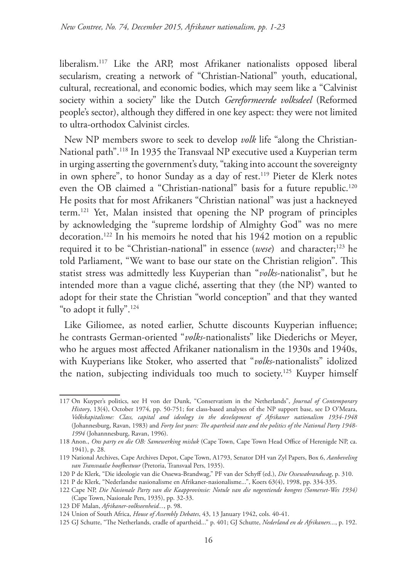liberalism.117 Like the ARP, most Afrikaner nationalists opposed liberal secularism, creating a network of "Christian-National" youth, educational, cultural, recreational, and economic bodies, which may seem like a "Calvinist society within a society" like the Dutch *Gereformeerde volksdeel* (Reformed people's sector), although they differed in one key aspect: they were not limited to ultra-orthodox Calvinist circles.

New NP members swore to seek to develop *volk* life "along the Christian-National path".118 In 1935 the Transvaal NP executive used a Kuyperian term in urging asserting the government's duty, "taking into account the sovereignty in own sphere", to honor Sunday as a day of rest.119 Pieter de Klerk notes even the OB claimed a "Christian-national" basis for a future republic.<sup>120</sup> He posits that for most Afrikaners "Christian national" was just a hackneyed term.121 Yet, Malan insisted that opening the NP program of principles by acknowledging the "supreme lordship of Almighty God" was no mere decoration.122 In his memoirs he noted that his 1942 motion on a republic required it to be "Christian-national" in essence (*wese*) and character;<sup>123</sup> he told Parliament, "We want to base our state on the Christian religion". This statist stress was admittedly less Kuyperian than "*volks*-nationalist", but he intended more than a vague cliché, asserting that they (the NP) wanted to adopt for their state the Christian "world conception" and that they wanted "to adopt it fully".124

Like Giliomee, as noted earlier, Schutte discounts Kuyperian influence; he contrasts German-oriented "*volks*-nationalists" like Diederichs or Meyer, who he argues most affected Afrikaner nationalism in the 1930s and 1940s, with Kuyperians like Stoker, who asserted that "*volks*-nationalists" idolized the nation, subjecting individuals too much to society.<sup>125</sup> Kuyper himself

123 DF Malan, *Afrikaner-volkseenheid...*, p. 98.

<sup>117</sup> On Kuyper's politics, see H von der Dunk, "Conservatism in the Netherlands", *Journal of Contemporary History*, 13(4), October 1974, pp. 50-751; for class-based analyses of the NP support base, see D O'Meara, *Volkskapitalisme: Class, capital and ideology in the development of Afrikaner nationalism 1934-1948* (Johannesburg, Ravan, 1983) and *Forty lost years: The apartheid state and the politics of the National Party 1948- 1994* (Johannnesburg, Ravan, 1996).

<sup>118</sup> Anon., *Ons party en die OB: Samewerking misluk* (Cape Town, Cape Town Head Office of Herenigde NP, ca. 1941), p. 28.

<sup>119</sup> National Archives, Cape Archives Depot, Cape Town, A1793, Senator DH van Zyl Papers, Box 6, *Aanbeveling van Transvaalse hoofbestuur* (Pretoria, Transvaal Pers, 1935).

<sup>120</sup> P de Klerk, "Die ideologie van die Ossewa-Brandwag," PF van der Schyff (ed.), *Die Ossewabrandwag*, p. 310.

<sup>121</sup> P de Klerk, "Nederlandse nasionalisme en Afrikaner-nasionalisme...", Koers 63(4), 1998, pp. 334-335.

<sup>122</sup> Cape NP, *Die Nasionale Party van die Kaapprovinsie: Notule van die negentiende kongres (Somerset-Wes 1934)* (Cape Town, Nasionale Pers, 1935), pp. 32-33.

<sup>124</sup> Union of South Africa, *House of Assembly Debates*, 43, 13 January 1942, cols. 40-41.

<sup>125</sup> GJ Schutte, "The Netherlands, cradle of apartheid..." p. 401; GJ Schutte, *Nederland en de Afrikaners...*, p. 192.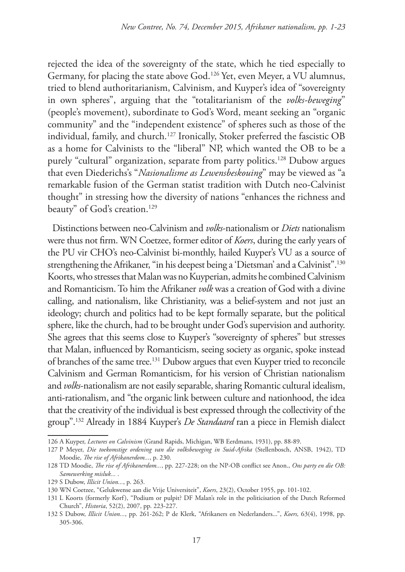rejected the idea of the sovereignty of the state, which he tied especially to Germany, for placing the state above God.126 Yet, even Meyer, a VU alumnus, tried to blend authoritarianism, Calvinism, and Kuyper's idea of "sovereignty in own spheres", arguing that the "totalitarianism of the *volks-beweging*" (people's movement), subordinate to God's Word, meant seeking an "organic community" and the "independent existence" of spheres such as those of the individual, family, and church.127 Ironically, Stoker preferred the fascistic OB as a home for Calvinists to the "liberal" NP, which wanted the OB to be a purely "cultural" organization, separate from party politics.<sup>128</sup> Dubow argues that even Diederichs's "*Nasionalisme as Lewensbeskouing*" may be viewed as "a remarkable fusion of the German statist tradition with Dutch neo-Calvinist thought" in stressing how the diversity of nations "enhances the richness and beauty" of God's creation.<sup>129</sup>

Distinctions between neo-Calvinism and *volks*-nationalism or *Diets* nationalism were thus not firm. WN Coetzee, former editor of *Koers*, during the early years of the PU vir CHO's neo-Calvinist bi-monthly, hailed Kuyper's VU as a source of strengthening the Afrikaner, "in his deepest being a 'Dietsman' and a Calvinist".130 Koorts, who stresses that Malan was no Kuyperian, admits he combined Calvinism and Romanticism. To him the Afrikaner *volk* was a creation of God with a divine calling, and nationalism, like Christianity, was a belief-system and not just an ideology; church and politics had to be kept formally separate, but the political sphere, like the church, had to be brought under God's supervision and authority. She agrees that this seems close to Kuyper's "sovereignty of spheres" but stresses that Malan, influenced by Romanticism, seeing society as organic, spoke instead of branches of the same tree.<sup>131</sup> Dubow argues that even Kuyper tried to reconcile Calvinism and German Romanticism, for his version of Christian nationalism and *volks*-nationalism are not easily separable, sharing Romantic cultural idealism, anti-rationalism, and "the organic link between culture and nationhood, the idea that the creativity of the individual is best expressed through the collectivity of the group".132 Already in 1884 Kuyper's *De Standaard* ran a piece in Flemish dialect

<sup>126</sup> A Kuyper, *Lectures on Calvinism* (Grand Rapids, Michigan, WB Eerdmans, 1931), pp. 88-89.

<sup>127</sup> P Meyer, *Die toekomstige ordening van die volksbeweging in Suid-Afrika* (Stellenbosch, ANSB, 1942), TD Moodie, *The rise of Afrikanerdom...*, p. 230.

<sup>128</sup> TD Moodie, *The rise of Afrikanerdom...*, pp. 227-228; on the NP-OB conflict see Anon., *Ons party en die OB: Samewerking misluk...* .

<sup>129</sup> S Dubow, *Illicit Union...*, p. 263.

<sup>130</sup> WN Coetzee, "Gelukwense aan die Vrije Universiteit", *Koers*, 23(2), October 1955, pp. 101-102.

<sup>131</sup> L Koorts (formerly Korf), "Podium or pulpit? DF Malan's role in the politicisation of the Dutch Reformed Church", *Historia*, 52(2), 2007, pp. 223-227.

<sup>132</sup> S Dubow, *Illicit Union...*, pp. 261-262; P de Klerk, "Afrikaners en Nederlanders...", *Koers,* 63(4), 1998, pp. 305-306.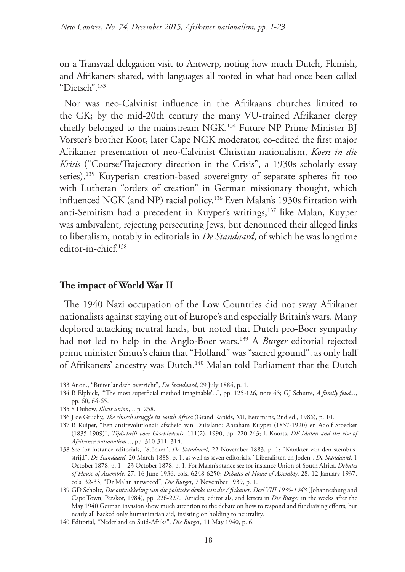on a Transvaal delegation visit to Antwerp, noting how much Dutch, Flemish, and Afrikaners shared, with languages all rooted in what had once been called "Dietsch".133

Nor was neo-Calvinist influence in the Afrikaans churches limited to the GK; by the mid-20th century the many VU-trained Afrikaner clergy chiefly belonged to the mainstream NGK.<sup>134</sup> Future NP Prime Minister BJ Vorster's brother Koot, later Cape NGK moderator, co-edited the first major Afrikaner presentation of neo-Calvinist Christian nationalism, *Koers in die Krisis* ("Course/Trajectory direction in the Crisis", a 1930s scholarly essay series).<sup>135</sup> Kuyperian creation-based sovereignty of separate spheres fit too with Lutheran "orders of creation" in German missionary thought, which influenced NGK (and NP) racial policy.136 Even Malan's 1930s flirtation with anti-Semitism had a precedent in Kuyper's writings;137 like Malan, Kuyper was ambivalent, rejecting persecuting Jews, but denounced their alleged links to liberalism, notably in editorials in *De Standaard*, of which he was longtime editor-in-chief.138

## **The impact of World War II**

The 1940 Nazi occupation of the Low Countries did not sway Afrikaner nationalists against staying out of Europe's and especially Britain's wars. Many deplored attacking neutral lands, but noted that Dutch pro-Boer sympathy had not led to help in the Anglo-Boer wars.139 A *Burger* editorial rejected prime minister Smuts's claim that "Holland" was "sacred ground", as only half of Afrikaners' ancestry was Dutch.<sup>140</sup> Malan told Parliament that the Dutch

<sup>133</sup> Anon., "Buitenlandsch overzicht", *De Standaard*, 29 July 1884, p. 1.

<sup>134</sup> R Elphick, "'The most superficial method imaginable'...", pp. 125-126, note 43; GJ Schutte, *A family feud...*, pp. 60, 64-65.

<sup>135</sup> S Dubow, *Illicit union*,... p. 258.

<sup>136</sup> J de Gruchy, *The church struggle in South Africa* (Grand Rapids, MI, Eerdmans, 2nd ed., 1986), p. 10.

<sup>137</sup> R Kuiper, "Een antirevolutionair afscheid van Duitsland: Abraham Kuyper (1837-1920) en Adolf Stoecker (1835-1909)", *Tijdschrift voor Geschiedenis*, 111(2), 1990, pp. 220-243; L Koorts, *DF Malan and the rise of Afrikaner nationalism...*, pp. 310-311, 314.

<sup>138</sup> See for instance editorials, "Stöcker", *De Standaard*, 22 November 1883, p. 1; "Karakter van den stembusstrijd", *De Standaard*, 20 March 1888, p. 1, as well as seven editorials, "Liberalisten en Joden", *De Standaard*, 1 October 1878, p. 1 – 23 October 1878, p. 1. For Malan's stance see for instance Union of South Africa, *Debates of House of Assembly*, 27, 16 June 1936, cols. 6248-6250; *Debates of House of Assembly*, 28, 12 January 1937, cols. 32-33; "Dr Malan antwoord", *Die Burger*, 7 November 1939, p. 1.

<sup>139</sup> GD Scholtz, *Die ontwikkeling van die politieke denke van die Afrikaner: Deel VIII 1939-1948* (Johannesburg and Cape Town, Perskor, 1984), pp. 226-227. Articles, editorials, and letters in *Die Burger* in the weeks after the May 1940 German invasion show much attention to the debate on how to respond and fundraising efforts, but nearly all backed only humanitarian aid, insisting on holding to neutrality.

<sup>140</sup> Editorial, "Nederland en Suid-Afrika", *Die Burger*, 11 May 1940, p. 6.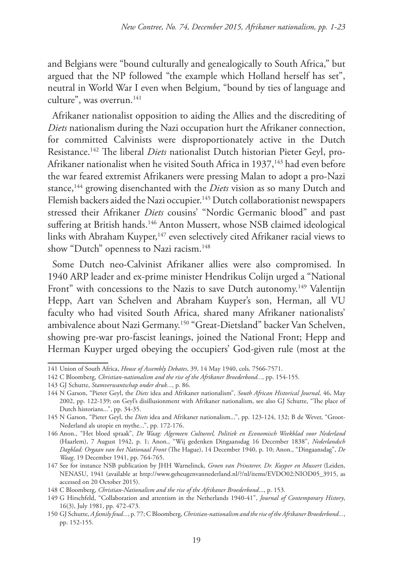and Belgians were "bound culturally and genealogically to South Africa," but argued that the NP followed "the example which Holland herself has set", neutral in World War I even when Belgium, "bound by ties of language and culture", was overrun. $141$ 

Afrikaner nationalist opposition to aiding the Allies and the discrediting of *Diets* nationalism during the Nazi occupation hurt the Afrikaner connection, for committed Calvinists were disproportionately active in the Dutch Resistance.142 The liberal *Diets* nationalist Dutch historian Pieter Geyl, pro-Afrikaner nationalist when he visited South Africa in 1937,<sup>143</sup> had even before the war feared extremist Afrikaners were pressing Malan to adopt a pro-Nazi stance,<sup>144</sup> growing disenchanted with the *Diets* vision as so many Dutch and Flemish backers aided the Nazi occupier.<sup>145</sup> Dutch collaborationist newspapers stressed their Afrikaner *Diets* cousins' "Nordic Germanic blood" and past suffering at British hands.<sup>146</sup> Anton Mussert, whose NSB claimed ideological links with Abraham Kuyper,<sup>147</sup> even selectively cited Afrikaner racial views to show "Dutch" openness to Nazi racism.<sup>148</sup>

Some Dutch neo-Calvinist Afrikaner allies were also compromised. In 1940 ARP leader and ex-prime minister Hendrikus Colijn urged a "National Front" with concessions to the Nazis to save Dutch autonomy.<sup>149</sup> Valentijn Hepp, Aart van Schelven and Abraham Kuyper's son, Herman, all VU faculty who had visited South Africa, shared many Afrikaner nationalists' ambivalence about Nazi Germany.150 "Great-Dietsland" backer Van Schelven, showing pre-war pro-fascist leanings, joined the National Front; Hepp and Herman Kuyper urged obeying the occupiers' God-given rule (most at the

<sup>141</sup> Union of South Africa, *House of Assembly Debates*, 39, 14 May 1940, cols. 7566-7571.

<sup>142</sup> C Bloomberg, *Christian-nationalism and the rise of the Afrikaner Broederbond...*, pp. 154-155.

<sup>143</sup> GJ Schutte, *Stamverwantschap onder druk...*, p. 86.

<sup>144</sup> N Garson, "Pieter Geyl, the *Diets* idea and Afrikaner nationalism", *South African Historical Journal*, 46, May 2002, pp. 122-139; on Geyl's disillusionment with Afrikaner nationalism, see also GJ Schutte, "The place of Dutch historians...", pp. 34-35.

<sup>145</sup> N Garson, "Pieter Geyl, the *Diets* idea and Afrikaner nationalism...", pp. 123-124, 132; B de Wever, "Groot-Nederland als utopie en mythe...", pp. 172-176.

<sup>146</sup> Anon., "Het bloed spraak", *De Waag: Algemeen Cultureel, Politiek en Economisch Weekblad voor Nederland* (Haarlem), 7 August 1942, p. 1; Anon., "Wij gedenken Dingaansdag 16 December 1838", *Nederlandsch Dagblad: Orgaan van het Nationaal Front* (The Hague), 14 December 1940, p. 10; Anon., "Dingaansdag", *De Waag*, 19 December 1941, pp. 764-765.

<sup>147</sup> See for instance NSB publication by JHH Warnelinck, *Groen van Prinsterer, Dr. Kuyper en Mussert* (Leiden, NENASU, 1941 (available at http://www.geheugenvannederland.nl/?/nl/items/EVDO02:NIOD05\_3915, as accessed on 20 October 2015).

<sup>148</sup> C Bloomberg, *Christian-Nationalism and the rise of the Afrikaner Broederbond*..., p. 153.

<sup>149</sup> G Hirschfeld, "Collaboration and attentism in the Netherlands 1940-41", *Journal of Contemporary History*, 16(3), July 1981, pp. 472-473.

<sup>150</sup> GJ Schutte, *A family feud...*, p. 77; C Bloomberg, *Christian-nationalism and the rise of the Afrikaner Broederbond...*, pp. 152-155.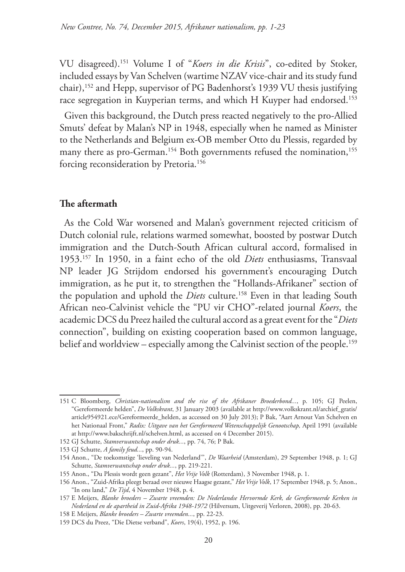VU disagreed).151 Volume I of "*Koers in die Krisis*", co-edited by Stoker, included essays by Van Schelven (wartime NZAV vice-chair and its study fund chair),152 and Hepp, supervisor of PG Badenhorst's 1939 VU thesis justifying race segregation in Kuyperian terms, and which H Kuyper had endorsed.153

Given this background, the Dutch press reacted negatively to the pro-Allied Smuts' defeat by Malan's NP in 1948, especially when he named as Minister to the Netherlands and Belgium ex-OB member Otto du Plessis, regarded by many there as pro-German.<sup>154</sup> Both governments refused the nomination,<sup>155</sup> forcing reconsideration by Pretoria.156

#### **The aftermath**

As the Cold War worsened and Malan's government rejected criticism of Dutch colonial rule, relations warmed somewhat, boosted by postwar Dutch immigration and the Dutch-South African cultural accord, formalised in 1953.157 In 1950, in a faint echo of the old *Diets* enthusiasms, Transvaal NP leader JG Strijdom endorsed his government's encouraging Dutch immigration, as he put it, to strengthen the "Hollands-Afrikaner" section of the population and uphold the *Diets* culture.<sup>158</sup> Even in that leading South African neo-Calvinist vehicle the "PU vir CHO"-related journal *Koers*, the academic DCS du Preez hailed the cultural accord as a great event for the "*Diets* connection", building on existing cooperation based on common language, belief and worldview – especially among the Calvinist section of the people.<sup>159</sup>

<sup>151</sup> C Bloomberg, *Christian-nationalism and the rise of the Afrikaner Broederbond...*, p. 105; GJ Peelen, "Gereformeerde helden", *De Volkskrant*, 31 January 2003 (available at http://www.volkskrant.nl/archief\_gratis/ article954921.ece/Gereformeerde\_helden, as accessed on 30 July 2013); P Bak, "Aart Arnout Van Schelven en het Nationaal Front," *Radix: Uitgave van het Gereformeerd Wetenschappelijk Genootschap,* April 1991 (available at http://www.bakschrijft.nl/schelven.html, as accessed on 4 December 2015).

<sup>152</sup> GJ Schutte, *Stamverwantschap onder druk...*, pp. 74, 76; P Bak.

<sup>153</sup> GJ Schutte, *A family feud...*, pp. 90-94.

<sup>154</sup> Anon., "De toekomstige 'lieveling van Nederland'", *De Waarheid* (Amsterdam), 29 September 1948, p. 1; GJ Schutte, *Stamverwantschap onder druk...*, pp. 219-221.

<sup>155</sup> Anon., "Du Plessis wordt geen gezant", *Het Vrije Volk* (Rotterdam), 3 November 1948, p. 1.

<sup>156</sup> Anon., "Zuid-Afrika pleegt beraad over nieuwe Haagse gezant," *Het Vrije Volk*, 17 September 1948, p. 5; Anon., "In ons land," *De Tijd*, 4 November 1948, p. 4.

<sup>157</sup> E Meijers, *Blanke broeders – Zwarte vreemden: De Nederlandse Hervormde Kerk, de Gereformeerde Kerken in Nederland en de apartheid in Zuid-Afrika 1948-1972* (Hilversum, Uitgeverij Verloren, 2008), pp. 20-63.

<sup>158</sup> E Meijers, *Blanke broeders – Zwarte vreemden...*, pp. 22-23.

<sup>159</sup> DCS du Preez, "Die Dietse verband", *Koers*, 19(4), 1952, p. 196.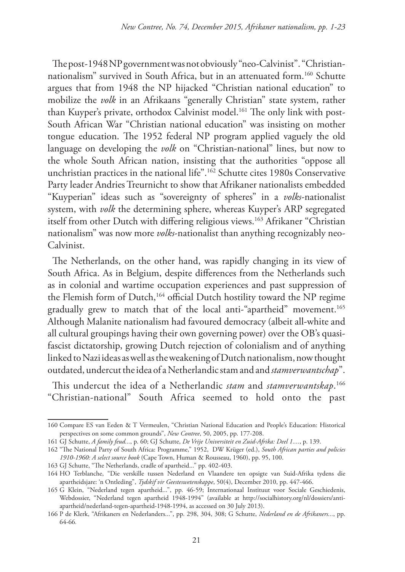The post-1948 NP government was not obviously "neo-Calvinist". "Christiannationalism" survived in South Africa, but in an attenuated form.160 Schutte argues that from 1948 the NP hijacked "Christian national education" to mobilize the *volk* in an Afrikaans "generally Christian" state system, rather than Kuyper's private, orthodox Calvinist model.<sup>161</sup> The only link with post-South African War "Christian national education" was insisting on mother tongue education. The 1952 federal NP program applied vaguely the old language on developing the *volk* on "Christian-national" lines, but now to the whole South African nation, insisting that the authorities "oppose all unchristian practices in the national life".162 Schutte cites 1980s Conservative Party leader Andries Treurnicht to show that Afrikaner nationalists embedded "Kuyperian" ideas such as "sovereignty of spheres" in a *volks*-nationalist system, with *volk* the determining sphere, whereas Kuyper's ARP segregated itself from other Dutch with differing religious views.<sup>163</sup> Afrikaner "Christian nationalism" was now more *volks*-nationalist than anything recognizably neo-Calvinist.

The Netherlands, on the other hand, was rapidly changing in its view of South Africa. As in Belgium, despite differences from the Netherlands such as in colonial and wartime occupation experiences and past suppression of the Flemish form of Dutch,<sup>164</sup> official Dutch hostility toward the NP regime gradually grew to match that of the local anti-"apartheid" movement.165 Although Malanite nationalism had favoured democracy (albeit all-white and all cultural groupings having their own governing power) over the OB's quasifascist dictatorship, growing Dutch rejection of colonialism and of anything linked to Nazi ideas as well as the weakening of Dutch nationalism, now thought outdated, undercut the idea of a Netherlandic stam and and *stamverwantschap*".

This undercut the idea of a Netherlandic *stam* and *stamverwantskap*. 166 "Christian-national" South Africa seemed to hold onto the past

<sup>160</sup> Compare ES van Eeden & T Vermeulen, "Christian National Education and People's Education: Historical perspectives on some common grounds", *New Contree*, 50, 2005, pp. 177-208.

<sup>161</sup> GJ Schutte, *A family feud...*, p. 60; GJ Schutte, *De Vrije Universiteit en Zuid-Afrika: Deel 1....*, p. 139.

<sup>162</sup> "The National Party of South Africa: Programme," 1952, DW Krüger (ed.), *South African parties and policies 1910-1960: A select source book* (Cape Town, Human & Rousseau, 1960), pp. 95, 100.

<sup>163</sup> GJ Schutte, "The Netherlands, cradle of apartheid..." pp. 402-403.

<sup>164</sup> HO Terblanche, "Die verskille tussen Nederland en Vlaandere ten opsigte van Suid-Afrika tydens die apartheidsjare: 'n Ontleding", *Tydskif vir Geesteswetenskappe*, 50(4), December 2010, pp. 447-466.

<sup>165</sup> G Klein, "Nederland tegen apartheid...", pp. 46-59; Internationaal Instituut voor Sociale Geschiedenis, Webdossier, "Nederland tegen apartheid 1948-1994" (available at http://socialhistory.org/nl/dossiers/antiapartheid/nederland-tegen-apartheid-1948-1994, as accessed on 30 July 2013).

<sup>166</sup> P de Klerk, "Afrikaners en Nederlanders...", pp. 298, 304, 308; G Schutte, *Nederland en de Afrikaners...*, pp. 64-66*.*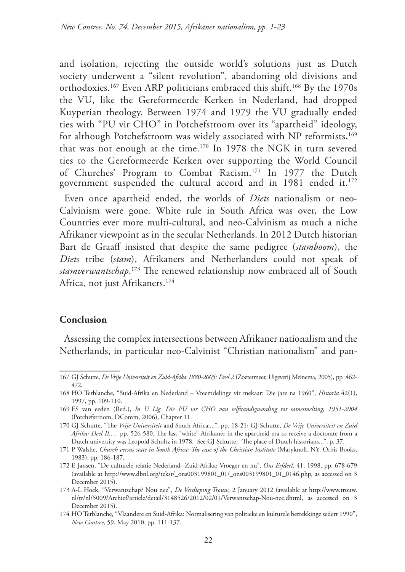and isolation, rejecting the outside world's solutions just as Dutch society underwent a "silent revolution", abandoning old divisions and orthodoxies.167 Even ARP politicians embraced this shift.168 By the 1970s the VU, like the Gereformeerde Kerken in Nederland, had dropped Kuyperian theology. Between 1974 and 1979 the VU gradually ended ties with "PU vir CHO" in Potchefstroom over its "apartheid" ideology, for although Potchefstroom was widely associated with NP reformists,<sup>169</sup> that was not enough at the time.170 In 1978 the NGK in turn severed ties to the Gereformeerde Kerken over supporting the World Council of Churches' Program to Combat Racism.171 In 1977 the Dutch government suspended the cultural accord and in 1981 ended it.<sup>172</sup> Even once apartheid ended, the worlds of *Diets* nationalism or neo-Calvinism were gone. White rule in South Africa was over, the Low Countries ever more multi-cultural, and neo-Calvinism as much a niche Afrikaner viewpoint as in the secular Netherlands. In 2012 Dutch historian Bart de Graaff insisted that despite the same pedigree (*stamboom*), the *Diets* tribe (*stam*), Afrikaners and Netherlanders could not speak of *stamverwantschap*. 173 The renewed relationship now embraced all of South Africa, not just Afrikaners.174

### **Conclusion**

Assessing the complex intersections between Afrikaner nationalism and the Netherlands, in particular neo-Calvinist "Christian nationalism" and pan-

<sup>167</sup> GJ Schutte, *De Vrije Universiteit en Zuid-Afrika 1880-2005: Deel 2* (Zoetermeer, Uigeverij Meinema, 2005), pp. 462- 472.

<sup>168</sup> HO Terblanche, "Suid-Afrika en Nederland – Vreemdelinge vir mekaar: Die jare na 1960", *Historia* 42(1), 1997, pp. 109-110.

<sup>169</sup> ES van eeden (Red.), *In U Lig. Die PU vir CHO van selfstandigwording tot samesmelting, 1951-2004*  (Potchefstroom, DComm, 2006), Chapter 11.

<sup>170</sup> GJ Schutte, "The *Vrije Universiteit* and South Africa:...", pp. 18-21; GJ Schutte, *De Vrije Universiteit en Zuid Afrika: Deel II...*, pp. 526-580. The last "white" Afrikaner in the apartheid era to receive a doctorate from a Dutch university was Leopold Scholtz in 1978. See GJ Schutte, "The place of Dutch historians...", p. 37.

<sup>171</sup> P Walshe, *Church versus state in South Africa: The case of the Christian Institute* (Maryknoll, NY, Orbis Books, 1983), pp. 186-187.

<sup>172</sup> E Jansen, "De culturele relatie Nederland--Zuid-Afrika: Vroeger en nu", *Ons Erfdeel*, 41, 1998, pp. 678-679 (available at http://www.dbnl.org/tekst/\_ons003199801\_01/\_ons003199801\_01\_0146.php, as accessed on 3 December 2015).

<sup>173</sup> A-L Hoek, "Verwantschap? Nou nee", *De Verdieping Trouw*, 2 January 2012 (available at http://www.trouw. nl/tr/nl/5009/Archief/article/detail/3148526/2012/02/01/Verwantschap-Nou-nee.dhtml, as accessed on 3 December 2015).

<sup>174</sup> HO Terblanche, "Vlaandere en Suid-Afrika: Normalisering van politieke en kulturele betrekkinge sedert 1990", *New Contree*, 59, May 2010, pp. 111-137.